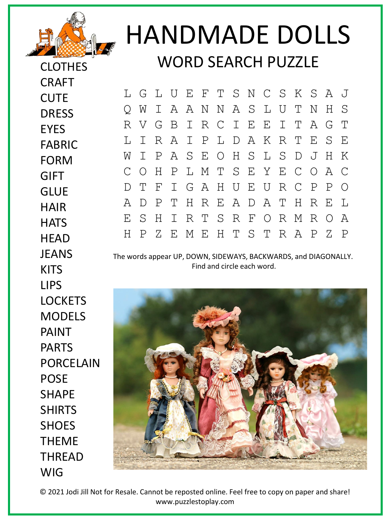

CLOTHES

CRAFT

**CUTE** 

**EYES** 

**DRESS** 

FABRIC

## HANDMADE DOLLS WORD SEARCH PUZZLE

L G L U E F T S N C S K S A J Q W I A A N N A S L U T N H S R V G B I R C I E E I T A G T L I R A I P L D A K R T E S E W I P A S E O H S L S D J H K C O H P L M T S E Y E C O A C D T F I G A H U E U R C P P O A D P T H R E A D A T H R E L E S H I R T S R F O R M R O A H P Z E M E H T S T R A P Z P

The words appear UP, DOWN, SIDEWAYS, BACKWARDS, and DIAGONALLY. Find and circle each word.



© 2021 Jodi Jill Not for Resale. Cannot be reposted online. Feel free to copy on paper and share! www.puzzlestoplay.com

FORM GIFT **GLUE HAIR HATS HEAD JFANS KITS** LIPS **LOCKETS** MODELS PAINT PARTS PORCELAIN POSE SHAPE SHIRTS **SHOFS** THEME THREAD WIG